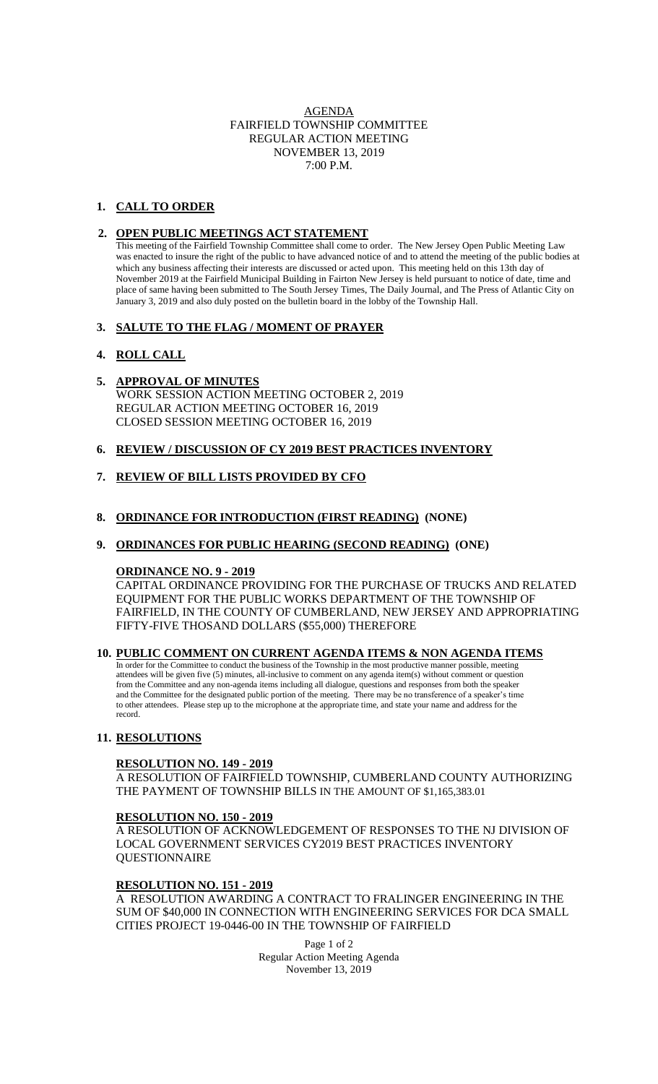## AGENDA FAIRFIELD TOWNSHIP COMMITTEE REGULAR ACTION MEETING NOVEMBER 13, 2019  $7:00 \text{ P.M.}$

# **1. CALL TO ORDER**

## **2. OPEN PUBLIC MEETINGS ACT STATEMENT**

This meeting of the Fairfield Township Committee shall come to order. The New Jersey Open Public Meeting Law was enacted to insure the right of the public to have advanced notice of and to attend the meeting of the public bodies at which any business affecting their interests are discussed or acted upon. This meeting held on this 13th day of November 2019 at the Fairfield Municipal Building in Fairton New Jersey is held pursuant to notice of date, time and place of same having been submitted to The South Jersey Times, The Daily Journal, and The Press of Atlantic City on January 3, 2019 and also duly posted on the bulletin board in the lobby of the Township Hall.

## **3. SALUTE TO THE FLAG / MOMENT OF PRAYER**

## **4. ROLL CALL**

- **5. APPROVAL OF MINUTES** WORK SESSION ACTION MEETING OCTOBER 2, 2019 REGULAR ACTION MEETING OCTOBER 16, 2019 CLOSED SESSION MEETING OCTOBER 16, 2019
- **6. REVIEW / DISCUSSION OF CY 2019 BEST PRACTICES INVENTORY**

## **7. REVIEW OF BILL LISTS PROVIDED BY CFO**

## **8. ORDINANCE FOR INTRODUCTION (FIRST READING) (NONE)**

## **9. ORDINANCES FOR PUBLIC HEARING (SECOND READING) (ONE)**

## **ORDINANCE NO. 9 - 2019**

CAPITAL ORDINANCE PROVIDING FOR THE PURCHASE OF TRUCKS AND RELATED EQUIPMENT FOR THE PUBLIC WORKS DEPARTMENT OF THE TOWNSHIP OF FAIRFIELD, IN THE COUNTY OF CUMBERLAND, NEW JERSEY AND APPROPRIATING FIFTY-FIVE THOSAND DOLLARS (\$55,000) THEREFORE

## **10. PUBLIC COMMENT ON CURRENT AGENDA ITEMS & NON AGENDA ITEMS**

 In order for the Committee to conduct the business of the Township in the most productive manner possible, meeting attendees will be given five (5) minutes, all-inclusive to comment on any agenda item(s) without comment or question from the Committee and any non-agenda items including all dialogue, questions and responses from both the speaker and the Committee for the designated public portion of the meeting. There may be no transference of a speaker's time to other attendees. Please step up to the microphone at the appropriate time, and state your name and address for the record.

## **11. RESOLUTIONS**

## **RESOLUTION NO. 149 - 2019**

A RESOLUTION OF FAIRFIELD TOWNSHIP, CUMBERLAND COUNTY AUTHORIZING THE PAYMENT OF TOWNSHIP BILLS IN THE AMOUNT OF \$1,165,383.01

## **RESOLUTION NO. 150 - 2019**

A RESOLUTION OF ACKNOWLEDGEMENT OF RESPONSES TO THE NJ DIVISION OF LOCAL GOVERNMENT SERVICES CY2019 BEST PRACTICES INVENTORY QUESTIONNAIRE

## **RESOLUTION NO. 151 - 2019**

A RESOLUTION AWARDING A CONTRACT TO FRALINGER ENGINEERING IN THE SUM OF \$40,000 IN CONNECTION WITH ENGINEERING SERVICES FOR DCA SMALL CITIES PROJECT 19-0446-00 IN THE TOWNSHIP OF FAIRFIELD

> Page 1 of 2 Regular Action Meeting Agenda November 13, 2019